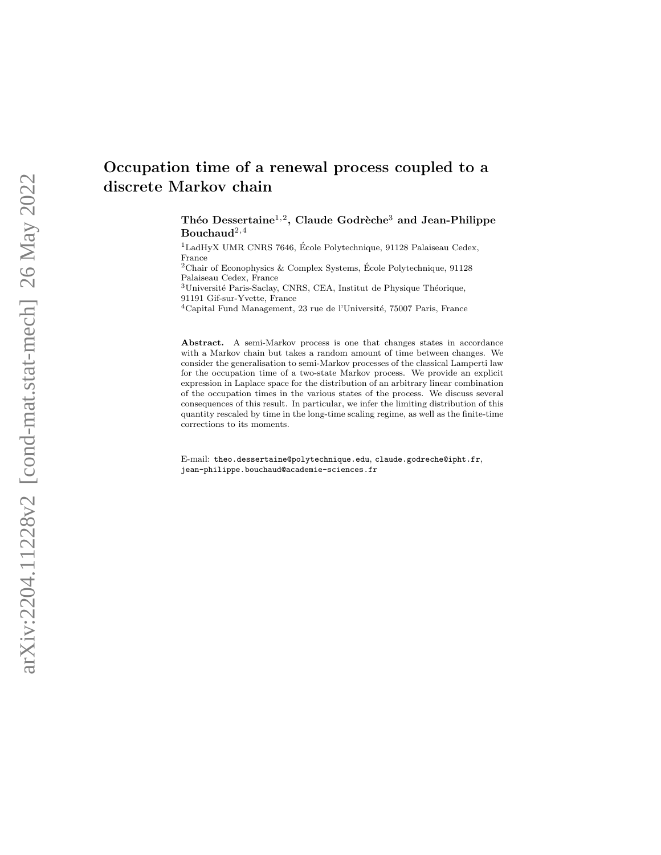Théo Dessertaine $^{1,2}$ , Claude Godrèche $^3$  and Jean-Philippe  $Bouchaud^{2,4}$ 

<sup>1</sup>LadHyX UMR CNRS 7646, École Polytechnique, 91128 Palaiseau Cedex, France

<sup>2</sup>Chair of Econophysics & Complex Systems, École Polytechnique, 91128 Palaiseau Cedex, France

<sup>3</sup>Université Paris-Saclay, CNRS, CEA, Institut de Physique Théorique, 91191 Gif-sur-Yvette, France

 $^4$ Capital Fund Management, 23 rue de l'Université, 75007 Paris, France

Abstract. A semi-Markov process is one that changes states in accordance with a Markov chain but takes a random amount of time between changes. We consider the generalisation to semi-Markov processes of the classical Lamperti law for the occupation time of a two-state Markov process. We provide an explicit expression in Laplace space for the distribution of an arbitrary linear combination of the occupation times in the various states of the process. We discuss several consequences of this result. In particular, we infer the limiting distribution of this quantity rescaled by time in the long-time scaling regime, as well as the finite-time corrections to its moments.

E-mail: theo.dessertaine@polytechnique.edu, claude.godreche@ipht.fr, jean-philippe.bouchaud@academie-sciences.fr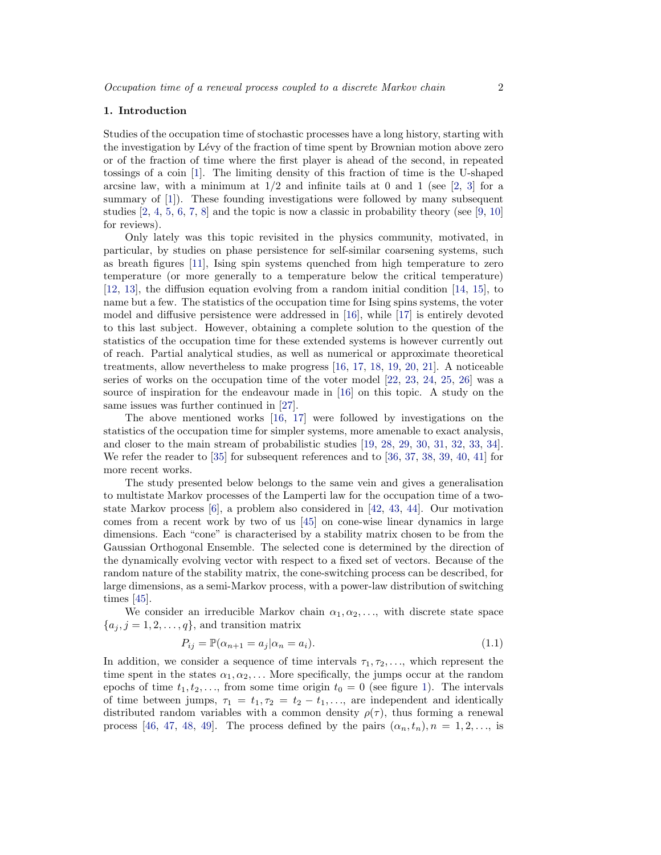#### 1. Introduction

Studies of the occupation time of stochastic processes have a long history, starting with the investigation by Lévy of the fraction of time spent by Brownian motion above zero or of the fraction of time where the first player is ahead of the second, in repeated tossings of a coin [\[1\]](#page-15-0). The limiting density of this fraction of time is the U-shaped arcsine law, with a minimum at  $1/2$  and infinite tails at 0 and 1 (see [\[2,](#page-15-1) [3\]](#page-15-2) for a summary of [\[1\]](#page-15-0)). These founding investigations were followed by many subsequent studies  $[2, 4, 5, 6, 7, 8]$  $[2, 4, 5, 6, 7, 8]$  $[2, 4, 5, 6, 7, 8]$  $[2, 4, 5, 6, 7, 8]$  $[2, 4, 5, 6, 7, 8]$  $[2, 4, 5, 6, 7, 8]$  $[2, 4, 5, 6, 7, 8]$  $[2, 4, 5, 6, 7, 8]$  $[2, 4, 5, 6, 7, 8]$  $[2, 4, 5, 6, 7, 8]$  and the topic is now a classic in probability theory (see  $[9, 10]$  $[9, 10]$ ) for reviews).

Only lately was this topic revisited in the physics community, motivated, in particular, by studies on phase persistence for self-similar coarsening systems, such as breath figures [\[11\]](#page-15-10), Ising spin systems quenched from high temperature to zero temperature (or more generally to a temperature below the critical temperature) [\[12,](#page-15-11) [13\]](#page-15-12), the diffusion equation evolving from a random initial condition [\[14,](#page-15-13) [15\]](#page-15-14), to name but a few. The statistics of the occupation time for Ising spins systems, the voter model and diffusive persistence were addressed in [\[16\]](#page-15-15), while [\[17\]](#page-15-16) is entirely devoted to this last subject. However, obtaining a complete solution to the question of the statistics of the occupation time for these extended systems is however currently out of reach. Partial analytical studies, as well as numerical or approximate theoretical treatments, allow nevertheless to make progress [\[16,](#page-15-15) [17,](#page-15-16) [18,](#page-15-17) [19,](#page-15-18) [20,](#page-16-0) [21\]](#page-16-1). A noticeable series of works on the occupation time of the voter model [\[22,](#page-16-2) [23,](#page-16-3) [24,](#page-16-4) [25,](#page-16-5) [26\]](#page-16-6) was a source of inspiration for the endeavour made in [\[16\]](#page-15-15) on this topic. A study on the same issues was further continued in [\[27\]](#page-16-7).

The above mentioned works [\[16,](#page-15-15) [17\]](#page-15-16) were followed by investigations on the statistics of the occupation time for simpler systems, more amenable to exact analysis, and closer to the main stream of probabilistic studies [\[19,](#page-15-18) [28,](#page-16-8) [29,](#page-16-9) [30,](#page-16-10) [31,](#page-16-11) [32,](#page-16-12) [33,](#page-16-13) [34\]](#page-16-14). We refer the reader to [\[35\]](#page-16-15) for subsequent references and to [\[36,](#page-16-16) [37,](#page-16-17) [38,](#page-16-18) [39,](#page-16-19) [40,](#page-16-20) [41\]](#page-16-21) for more recent works.

The study presented below belongs to the same vein and gives a generalisation to multistate Markov processes of the Lamperti law for the occupation time of a twostate Markov process [\[6\]](#page-15-5), a problem also considered in [\[42,](#page-16-22) [43,](#page-16-23) [44\]](#page-16-24). Our motivation comes from a recent work by two of us [\[45\]](#page-16-25) on cone-wise linear dynamics in large dimensions. Each "cone" is characterised by a stability matrix chosen to be from the Gaussian Orthogonal Ensemble. The selected cone is determined by the direction of the dynamically evolving vector with respect to a fixed set of vectors. Because of the random nature of the stability matrix, the cone-switching process can be described, for large dimensions, as a semi-Markov process, with a power-law distribution of switching times [\[45\]](#page-16-25).

We consider an irreducible Markov chain  $\alpha_1, \alpha_2, \ldots$ , with discrete state space  ${a_j, j = 1, 2, \ldots, q}$ , and transition matrix

<span id="page-1-0"></span>
$$
P_{ij} = \mathbb{P}(\alpha_{n+1} = a_j | \alpha_n = a_i). \tag{1.1}
$$

In addition, we consider a sequence of time intervals  $\tau_1, \tau_2, \ldots$ , which represent the time spent in the states  $\alpha_1, \alpha_2, \ldots$  More specifically, the jumps occur at the random epochs of time  $t_1, t_2, \ldots$ , from some time origin  $t_0 = 0$  (see figure [1\)](#page-4-0). The intervals of time between jumps,  $\tau_1 = t_1, \tau_2 = t_2 - t_1, \ldots$ , are independent and identically distributed random variables with a common density  $\rho(\tau)$ , thus forming a renewal process [\[46,](#page-16-26) [47,](#page-16-27) [48,](#page-16-28) [49\]](#page-16-29). The process defined by the pairs  $(\alpha_n, t_n), n = 1, 2, \ldots$ , is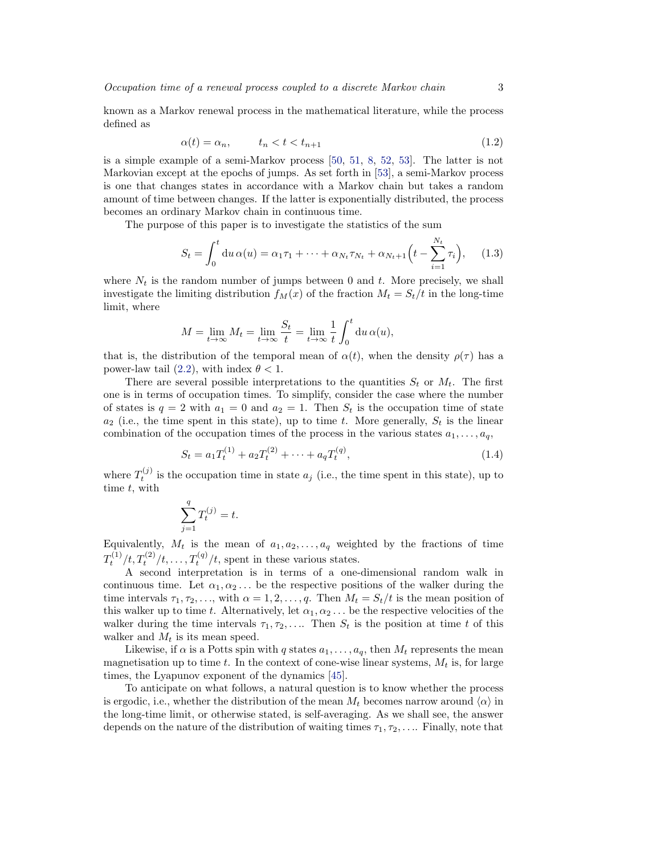known as a Markov renewal process in the mathematical literature, while the process defined as

$$
\alpha(t) = \alpha_n, \qquad t_n < t < t_{n+1} \tag{1.2}
$$

is a simple example of a semi-Markov process [\[50,](#page-16-30) [51,](#page-16-31) [8,](#page-15-7) [52,](#page-16-32) [53\]](#page-16-33). The latter is not Markovian except at the epochs of jumps. As set forth in [\[53\]](#page-16-33), a semi-Markov process is one that changes states in accordance with a Markov chain but takes a random amount of time between changes. If the latter is exponentially distributed, the process becomes an ordinary Markov chain in continuous time.

The purpose of this paper is to investigate the statistics of the sum

<span id="page-2-0"></span>
$$
S_t = \int_0^t du \,\alpha(u) = \alpha_1 \tau_1 + \dots + \alpha_{N_t} \tau_{N_t} + \alpha_{N_t+1} \left( t - \sum_{i=1}^{N_t} \tau_i \right), \quad (1.3)
$$

where  $N_t$  is the random number of jumps between 0 and t. More precisely, we shall investigate the limiting distribution  $f_M(x)$  of the fraction  $M_t = S_t/t$  in the long-time limit, where

$$
M = \lim_{t \to \infty} M_t = \lim_{t \to \infty} \frac{S_t}{t} = \lim_{t \to \infty} \frac{1}{t} \int_0^t du \, \alpha(u),
$$

that is, the distribution of the temporal mean of  $\alpha(t)$ , when the density  $\rho(\tau)$  has a power-law tail  $(2.2)$ , with index  $\theta < 1$ .

There are several possible interpretations to the quantities  $S_t$  or  $M_t$ . The first one is in terms of occupation times. To simplify, consider the case where the number of states is  $q = 2$  with  $a_1 = 0$  and  $a_2 = 1$ . Then  $S_t$  is the occupation time of state  $a_2$  (i.e., the time spent in this state), up to time t. More generally,  $S_t$  is the linear combination of the occupation times of the process in the various states  $a_1, \ldots, a_q$ ,

<span id="page-2-1"></span>
$$
S_t = a_1 T_t^{(1)} + a_2 T_t^{(2)} + \dots + a_q T_t^{(q)}, \qquad (1.4)
$$

where  $T_t^{(j)}$  is the occupation time in state  $a_j$  (i.e., the time spent in this state), up to time t, with

$$
\sum_{j=1}^{q} T_t^{(j)} = t.
$$

Equivalently,  $M_t$  is the mean of  $a_1, a_2, \ldots, a_q$  weighted by the fractions of time  $T_t^{(1)}/t, T_t^{(2)}/t, \ldots, T_t^{(q)}/t$ , spent in these various states.

A second interpretation is in terms of a one-dimensional random walk in continuous time. Let  $\alpha_1, \alpha_2, \ldots$  be the respective positions of the walker during the time intervals  $\tau_1, \tau_2, \ldots$ , with  $\alpha = 1, 2, \ldots, q$ . Then  $M_t = S_t/t$  is the mean position of this walker up to time t. Alternatively, let  $\alpha_1, \alpha_2, \ldots$  be the respective velocities of the walker during the time intervals  $\tau_1, \tau_2, \ldots$  Then  $S_t$  is the position at time t of this walker and  $M_t$  is its mean speed.

Likewise, if  $\alpha$  is a Potts spin with q states  $a_1, \ldots, a_q$ , then  $M_t$  represents the mean magnetisation up to time t. In the context of cone-wise linear systems,  $M_t$  is, for large times, the Lyapunov exponent of the dynamics [\[45\]](#page-16-25).

To anticipate on what follows, a natural question is to know whether the process is ergodic, i.e., whether the distribution of the mean  $M_t$  becomes narrow around  $\langle \alpha \rangle$  in the long-time limit, or otherwise stated, is self-averaging. As we shall see, the answer depends on the nature of the distribution of waiting times  $\tau_1, \tau_2, \ldots$ . Finally, note that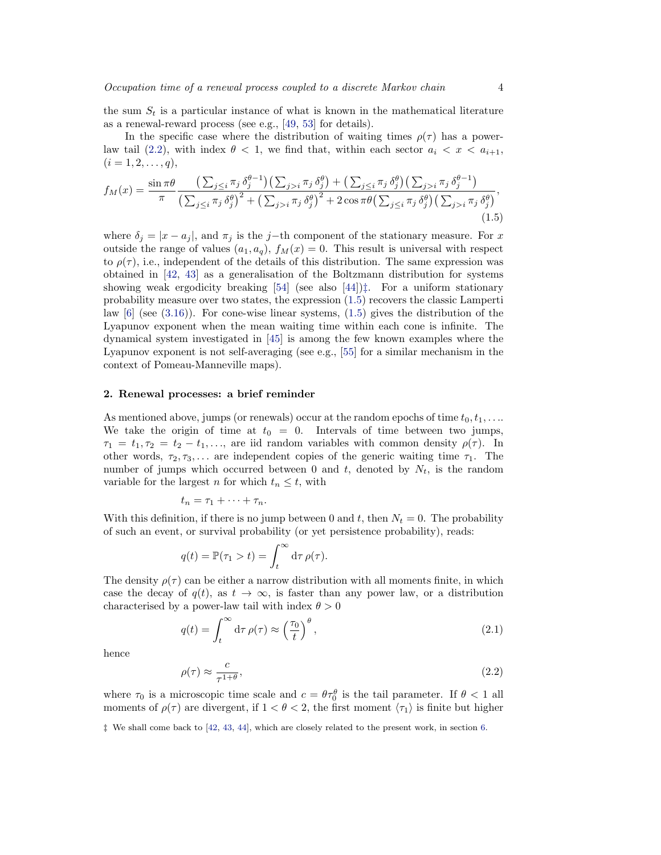the sum  $S_t$  is a particular instance of what is known in the mathematical literature as a renewal-reward process (see e.g., [\[49,](#page-16-29) [53\]](#page-16-33) for details).

In the specific case where the distribution of waiting times  $\rho(\tau)$  has a power-law tail [\(2.2\)](#page-3-0), with index  $\theta < 1$ , we find that, within each sector  $a_i < x < a_{i+1}$ ,  $(i = 1, 2, \ldots, q),$ 

<span id="page-3-2"></span>
$$
f_M(x) = \frac{\sin \pi \theta}{\pi} \frac{\left(\sum_{j \leq i} \pi_j \,\delta_j^{\theta-1}\right) \left(\sum_{j > i} \pi_j \,\delta_j^{\theta}\right) + \left(\sum_{j \leq i} \pi_j \,\delta_j^{\theta}\right) \left(\sum_{j > i} \pi_j \,\delta_j^{\theta-1}\right)}{\left(\sum_{j \leq i} \pi_j \,\delta_j^{\theta}\right)^2 + \left(\sum_{j > i} \pi_j \,\delta_j^{\theta}\right)^2 + 2 \cos \pi \theta \left(\sum_{j \leq i} \pi_j \,\delta_j^{\theta}\right) \left(\sum_{j > i} \pi_j \,\delta_j^{\theta}\right)},\tag{1.5}
$$

where  $\delta_j = |x - a_j|$ , and  $\pi_j$  is the j-th component of the stationary measure. For x outside the range of values  $(a_1, a_q)$ ,  $f_M(x) = 0$ . This result is universal with respect to  $\rho(\tau)$ , i.e., independent of the details of this distribution. The same expression was obtained in [\[42,](#page-16-22) [43\]](#page-16-23) as a generalisation of the Boltzmann distribution for systems showing weak ergodicity breaking  $[54]$  (see also  $[44]$ )<sup>†</sup>. For a uniform stationary probability measure over two states, the expression [\(1.5\)](#page-3-2) recovers the classic Lamperti law  $[6]$  (see  $(3.16)$ ). For cone-wise linear systems,  $(1.5)$  gives the distribution of the Lyapunov exponent when the mean waiting time within each cone is infinite. The dynamical system investigated in [\[45\]](#page-16-25) is among the few known examples where the Lyapunov exponent is not self-averaging (see e.g., [\[55\]](#page-17-1) for a similar mechanism in the context of Pomeau-Manneville maps).

## 2. Renewal processes: a brief reminder

As mentioned above, jumps (or renewals) occur at the random epochs of time  $t_0, t_1, \ldots$ We take the origin of time at  $t_0 = 0$ . Intervals of time between two jumps,  $\tau_1 = t_1, \tau_2 = t_2 - t_1, \ldots$ , are iid random variables with common density  $\rho(\tau)$ . In other words,  $\tau_2, \tau_3, \ldots$  are independent copies of the generic waiting time  $\tau_1$ . The number of jumps which occurred between 0 and t, denoted by  $N_t$ , is the random variable for the largest n for which  $t_n \leq t$ , with

$$
t_n=\tau_1+\cdots+\tau_n.
$$

With this definition, if there is no jump between 0 and t, then  $N_t = 0$ . The probability of such an event, or survival probability (or yet persistence probability), reads:

$$
q(t) = \mathbb{P}(\tau_1 > t) = \int_t^{\infty} d\tau \, \rho(\tau).
$$

The density  $\rho(\tau)$  can be either a narrow distribution with all moments finite, in which case the decay of  $q(t)$ , as  $t \to \infty$ , is faster than any power law, or a distribution characterised by a power-law tail with index  $\theta > 0$ 

<span id="page-3-3"></span>
$$
q(t) = \int_{t}^{\infty} d\tau \,\rho(\tau) \approx \left(\frac{\tau_{0}}{t}\right)^{\theta},\tag{2.1}
$$

hence

<span id="page-3-0"></span>
$$
\rho(\tau) \approx \frac{c}{\tau^{1+\theta}},\tag{2.2}
$$

where  $\tau_0$  is a microscopic time scale and  $c = \theta \tau_0^{\theta}$  is the tail parameter. If  $\theta < 1$  all moments of  $\rho(\tau)$  are divergent, if  $1 < \theta < 2$ , the first moment  $\langle \tau_1 \rangle$  is finite but higher

<span id="page-3-1"></span><sup>‡</sup> We shall come back to [\[42,](#page-16-22) [43,](#page-16-23) [44\]](#page-16-24), which are closely related to the present work, in section [6.](#page-13-0)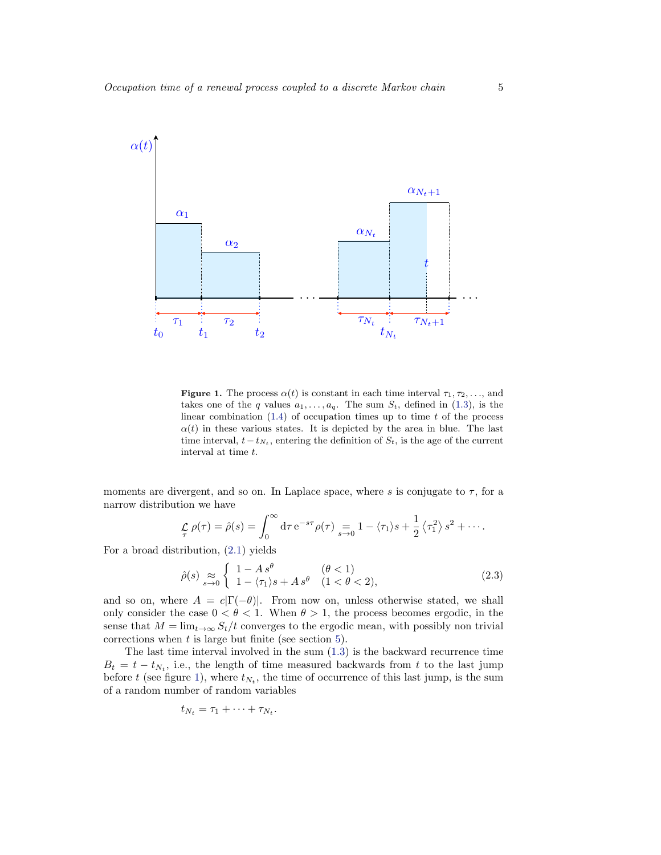

<span id="page-4-0"></span>**Figure 1.** The process  $\alpha(t)$  is constant in each time interval  $\tau_1, \tau_2, \ldots$ , and takes one of the q values  $a_1, \ldots, a_q$ . The sum  $S_t$ , defined in [\(1.3\)](#page-2-0), is the linear combination  $(1.4)$  of occupation times up to time t of the process  $\alpha(t)$  in these various states. It is depicted by the area in blue. The last time interval,  $t - t_{N_t}$ , entering the definition of  $S_t$ , is the age of the current interval at time t.

moments are divergent, and so on. In Laplace space, where s is conjugate to  $\tau$ , for a narrow distribution we have

$$
\mathop{\mathcal{L}}_{\tau} \rho(\tau) = \hat{\rho}(s) = \int_0^{\infty} d\tau \, e^{-s\tau} \rho(\tau) \mathop{\mathop{=}}_{s\to 0} 1 - \langle \tau_1 \rangle s + \frac{1}{2} \langle \tau_1^2 \rangle s^2 + \cdots
$$

For a broad distribution, [\(2.1\)](#page-3-3) yields

<span id="page-4-1"></span>
$$
\hat{\rho}(s) \underset{s \to 0}{\approx} \begin{cases} 1 - A s^{\theta} & (\theta < 1) \\ 1 - \langle \tau_1 \rangle s + A s^{\theta} & (1 < \theta < 2), \end{cases}
$$
\n(2.3)

and so on, where  $A = c|\Gamma(-\theta)|$ . From now on, unless otherwise stated, we shall only consider the case  $0 < \theta < 1$ . When  $\theta > 1$ , the process becomes ergodic, in the sense that  $M = \lim_{t\to\infty} S_t/t$  converges to the ergodic mean, with possibly non trivial corrections when  $t$  is large but finite (see section [5\)](#page-10-0).

The last time interval involved in the sum [\(1.3\)](#page-2-0) is the backward recurrence time  $B_t = t - t_{N_t}$ , i.e., the length of time measured backwards from t to the last jump before t (see figure [1\)](#page-4-0), where  $t_{N_t}$ , the time of occurrence of this last jump, is the sum of a random number of random variables

$$
t_{N_t} = \tau_1 + \cdots + \tau_{N_t}.
$$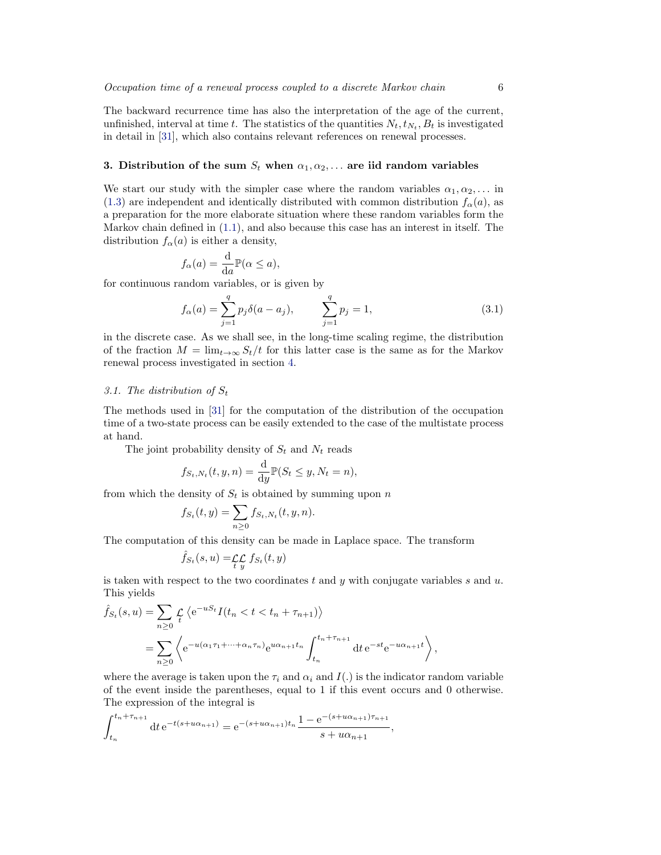The backward recurrence time has also the interpretation of the age of the current, unfinished, interval at time t. The statistics of the quantities  $N_t, t_{N_t}, B_t$  is investigated in detail in [\[31\]](#page-16-11), which also contains relevant references on renewal processes.

# <span id="page-5-1"></span>3. Distribution of the sum  $S_t$  when  $\alpha_1, \alpha_2, \ldots$  are iid random variables

We start our study with the simpler case where the random variables  $\alpha_1, \alpha_2, \ldots$  in [\(1.3\)](#page-2-0) are independent and identically distributed with common distribution  $f_{\alpha}(a)$ , as a preparation for the more elaborate situation where these random variables form the Markov chain defined in [\(1.1\)](#page-1-0), and also because this case has an interest in itself. The distribution  $f_{\alpha}(a)$  is either a density,

$$
f_{\alpha}(a) = \frac{\mathrm{d}}{\mathrm{d}a} \mathbb{P}(\alpha \le a),
$$

for continuous random variables, or is given by

<span id="page-5-0"></span>
$$
f_{\alpha}(a) = \sum_{j=1}^{q} p_j \delta(a - a_j), \qquad \sum_{j=1}^{q} p_j = 1,
$$
\n(3.1)

in the discrete case. As we shall see, in the long-time scaling regime, the distribution of the fraction  $M = \lim_{t\to\infty} S_t/t$  for this latter case is the same as for the Markov renewal process investigated in section [4.](#page-8-0)

# 3.1. The distribution of  $S_t$

The methods used in [\[31\]](#page-16-11) for the computation of the distribution of the occupation time of a two-state process can be easily extended to the case of the multistate process at hand.

The joint probability density of  $S_t$  and  $N_t$  reads

$$
f_{S_t,N_t}(t,y,n) = \frac{\mathrm{d}}{\mathrm{d}y} \mathbb{P}(S_t \le y, N_t = n),
$$

from which the density of  $S_t$  is obtained by summing upon n

$$
f_{S_t}(t,y) = \sum_{n\geq 0} f_{S_t,N_t}(t,y,n).
$$

The computation of this density can be made in Laplace space. The transform

$$
\hat{f}_{S_t}(s, u) = \mathcal{L}_{\mathcal{L}} \mathcal{L}_{y} f_{S_t}(t, y)
$$

is taken with respect to the two coordinates t and y with conjugate variables s and  $u$ . This yields

$$
\hat{f}_{S_t}(s, u) = \sum_{n \ge 0} \zeta \langle e^{-u S_t} I(t_n < t < t_n + \tau_{n+1}) \rangle
$$
\n
$$
= \sum_{n \ge 0} \langle e^{-u(\alpha_1 \tau_1 + \dots + \alpha_n \tau_n)} e^{u \alpha_{n+1} t_n} \int_{t_n}^{t_n + \tau_{n+1}} dt \, e^{-st} e^{-u \alpha_{n+1} t} \rangle,
$$

where the average is taken upon the  $\tau_i$  and  $\alpha_i$  and  $I(.)$  is the indicator random variable of the event inside the parentheses, equal to 1 if this event occurs and 0 otherwise. The expression of the integral is

$$
\int_{t_n}^{t_n+\tau_{n+1}} dt e^{-t(s+u\alpha_{n+1})} = e^{-(s+u\alpha_{n+1})t_n} \frac{1 - e^{-(s+u\alpha_{n+1})\tau_{n+1}}}{s+u\alpha_{n+1}},
$$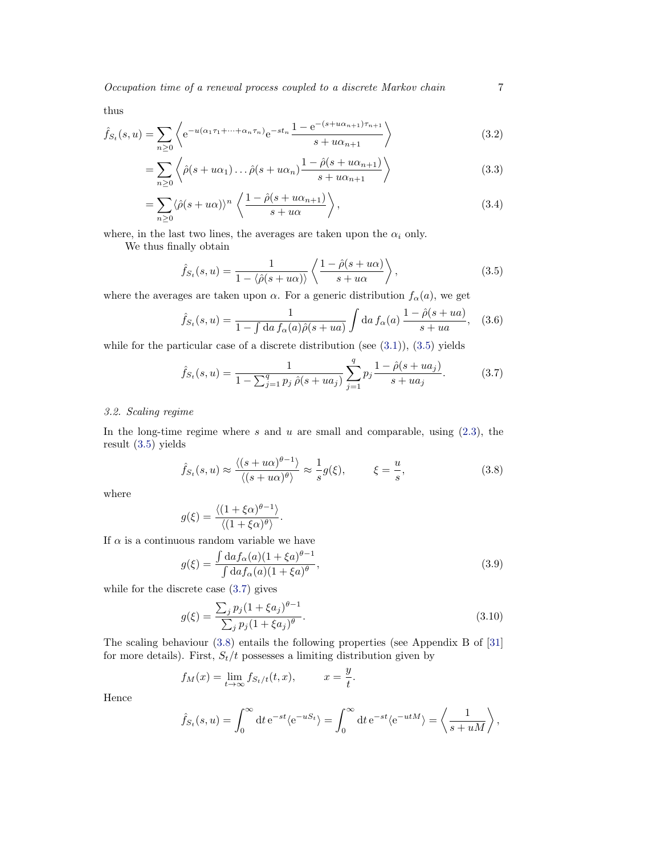thus

$$
\hat{f}_{S_t}(s, u) = \sum_{n \ge 0} \left\langle e^{-u(\alpha_1 \tau_1 + \dots + \alpha_n \tau_n)} e^{-st_n} \frac{1 - e^{-(s + u\alpha_{n+1})\tau_{n+1}}}{s + u\alpha_{n+1}} \right\rangle \tag{3.2}
$$

<span id="page-6-5"></span>
$$
=\sum_{n\geq 0}\left\langle \hat{\rho}(s+u\alpha_1)\dots\hat{\rho}(s+u\alpha_n)\frac{1-\hat{\rho}(s+u\alpha_{n+1})}{s+u\alpha_{n+1}} \right\rangle \tag{3.3}
$$

$$
= \sum_{n\geq 0} \langle \hat{\rho}(s + u\alpha) \rangle^{n} \left\langle \frac{1 - \hat{\rho}(s + u\alpha_{n+1})}{s + u\alpha} \right\rangle,
$$
\n(3.4)

where, in the last two lines, the averages are taken upon the  $\alpha_i$  only.

We thus finally obtain

<span id="page-6-0"></span>
$$
\hat{f}_{S_t}(s, u) = \frac{1}{1 - \langle \hat{\rho}(s + u\alpha) \rangle} \left\langle \frac{1 - \hat{\rho}(s + u\alpha)}{s + u\alpha} \right\rangle, \tag{3.5}
$$

where the averages are taken upon  $\alpha$ . For a generic distribution  $f_{\alpha}(a)$ , we get

$$
\hat{f}_{S_t}(s, u) = \frac{1}{1 - \int da \, f_{\alpha}(a)\hat{\rho}(s + ua)} \int da \, f_{\alpha}(a) \, \frac{1 - \hat{\rho}(s + ua)}{s + ua}, \quad (3.6)
$$

while for the particular case of a discrete distribution (see  $(3.1)$ ),  $(3.5)$  yields

.

<span id="page-6-1"></span>
$$
\hat{f}_{S_t}(s, u) = \frac{1}{1 - \sum_{j=1}^q p_j \hat{\rho}(s + u a_j)} \sum_{j=1}^q p_j \frac{1 - \hat{\rho}(s + u a_j)}{s + u a_j}.
$$
(3.7)

# 3.2. Scaling regime

In the long-time regime where  $s$  and  $u$  are small and comparable, using  $(2.3)$ , the result [\(3.5\)](#page-6-0) yields

<span id="page-6-2"></span>
$$
\hat{f}_{S_t}(s, u) \approx \frac{\langle (s + u\alpha)^{\theta - 1} \rangle}{\langle (s + u\alpha)^{\theta} \rangle} \approx \frac{1}{s} g(\xi), \qquad \xi = \frac{u}{s}, \tag{3.8}
$$

where

$$
g(\xi) = \frac{\langle (1 + \xi \alpha)^{\theta - 1} \rangle}{\langle (1 + \xi \alpha)^{\theta} \rangle}
$$

If  $\alpha$  is a continuous random variable we have

<span id="page-6-3"></span>
$$
g(\xi) = \frac{\int da f_{\alpha}(a)(1+\xi a)^{\theta-1}}{\int da f_{\alpha}(a)(1+\xi a)^{\theta}},
$$
\n(3.9)

while for the discrete case [\(3.7\)](#page-6-1) gives

<span id="page-6-4"></span>
$$
g(\xi) = \frac{\sum_{j} p_j (1 + \xi a_j)^{\theta - 1}}{\sum_{j} p_j (1 + \xi a_j)^{\theta}}.
$$
\n(3.10)

The scaling behaviour [\(3.8\)](#page-6-2) entails the following properties (see Appendix B of [\[31\]](#page-16-11) for more details). First,  $S_t/t$  possesses a limiting distribution given by

$$
f_M(x) = \lim_{t \to \infty} f_{S_t/t}(t, x), \qquad x = \frac{y}{t}.
$$

Hence

$$
\hat{f}_{S_t}(s, u) = \int_0^\infty dt \, e^{-st} \langle e^{-uS_t} \rangle = \int_0^\infty dt \, e^{-st} \langle e^{-utM} \rangle = \left\langle \frac{1}{s + uM} \right\rangle,
$$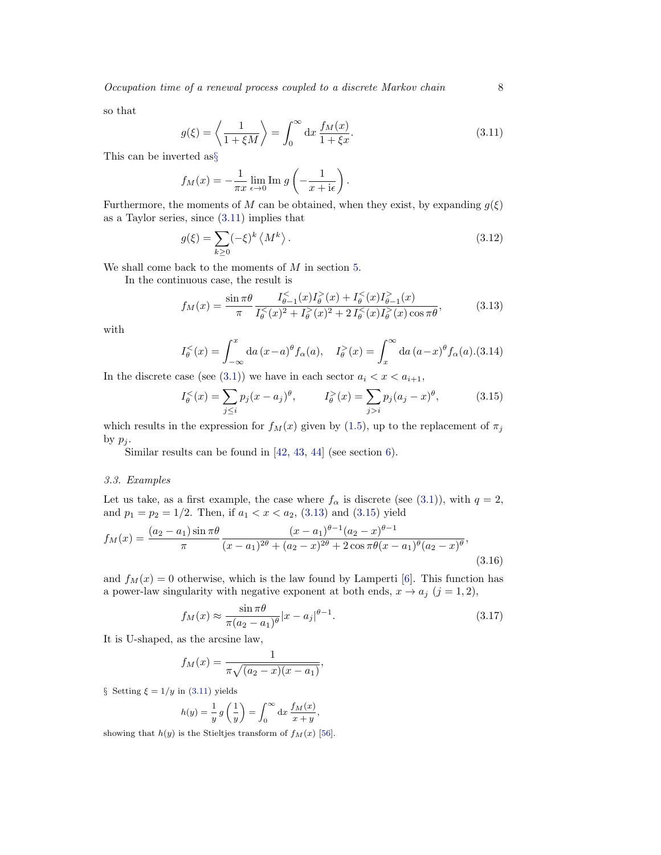so that

<span id="page-7-2"></span>
$$
g(\xi) = \left\langle \frac{1}{1 + \xi M} \right\rangle = \int_0^\infty dx \, \frac{f_M(x)}{1 + \xi x}.\tag{3.11}
$$

This can be inverted as[§](#page-7-1)

$$
f_M(x) = -\frac{1}{\pi x} \lim_{\epsilon \to 0} \text{Im } g\left(-\frac{1}{x + i\epsilon}\right).
$$

Furthermore, the moments of M can be obtained, when they exist, by expanding  $g(\xi)$ as a Taylor series, since [\(3.11\)](#page-7-2) implies that

<span id="page-7-6"></span>
$$
g(\xi) = \sum_{k \ge 0} (-\xi)^k \left\langle M^k \right\rangle. \tag{3.12}
$$

We shall come back to the moments of  $M$  in section [5.](#page-10-0)

In the continuous case, the result is

<span id="page-7-3"></span>
$$
f_M(x) = \frac{\sin \pi \theta}{\pi} \frac{I_{\theta-1}^{\le}(x)I_{\theta}^{\ge}(x) + I_{\theta}^{\le}(x)I_{\theta-1}^{\ge}(x)}{I_{\theta}^{\le}(x)^2 + I_{\theta}^{\ge}(x)^2 + 2I_{\theta}^{\le}(x)I_{\theta}^{\ge}(x)\cos \pi \theta},
$$
(3.13)

with

<span id="page-7-5"></span>
$$
I_{\theta}^{<}(x) = \int_{-\infty}^{x} da (x-a)^{\theta} f_{\alpha}(a), \quad I_{\theta}^{>}(x) = \int_{x}^{\infty} da (a-x)^{\theta} f_{\alpha}(a). (3.14)
$$

In the discrete case (see [\(3.1\)](#page-5-0)) we have in each sector  $a_i < x < a_{i+1}$ ,

<span id="page-7-4"></span>
$$
I_{\theta}^{<}(x) = \sum_{j \leq i} p_j (x - a_j)^{\theta}, \qquad I_{\theta}^{>}(x) = \sum_{j > i} p_j (a_j - x)^{\theta}, \qquad (3.15)
$$

which results in the expression for  $f_M(x)$  given by [\(1.5\)](#page-3-2), up to the replacement of  $\pi_j$ by  $p_j$ .

Similar results can be found in [\[42,](#page-16-22) [43,](#page-16-23) [44\]](#page-16-24) (see section [6\)](#page-13-0).

# 3.3. Examples

Let us take, as a first example, the case where  $f_{\alpha}$  is discrete (see [\(3.1\)](#page-5-0)), with  $q = 2$ , and  $p_1 = p_2 = 1/2$ . Then, if  $a_1 < x < a_2$ , [\(3.13\)](#page-7-3) and [\(3.15\)](#page-7-4) yield

$$
f_M(x) = \frac{(a_2 - a_1)\sin \pi \theta}{\pi} \frac{(x - a_1)^{\theta - 1}(a_2 - x)^{\theta - 1}}{(x - a_1)^{2\theta} + (a_2 - x)^{2\theta} + 2\cos \pi \theta (x - a_1)^{\theta} (a_2 - x)^{\theta}},
$$
\n(3.16)

and  $f_M(x) = 0$  otherwise, which is the law found by Lamperti [\[6\]](#page-15-5). This function has a power-law singularity with negative exponent at both ends,  $x \to a_j$   $(j = 1, 2)$ ,

<span id="page-7-7"></span><span id="page-7-0"></span>
$$
f_M(x) \approx \frac{\sin \pi \theta}{\pi (a_2 - a_1)^{\theta}} |x - a_j|^{\theta - 1}.
$$
\n(3.17)

,

It is U-shaped, as the arcsine law,

$$
f_M(x) = \frac{1}{\pi \sqrt{(a_2 - x)(x - a_1)}}
$$

<span id="page-7-1"></span>§ Setting  $\xi = 1/y$  in [\(3.11\)](#page-7-2) yields

$$
h(y) = \frac{1}{y} g\left(\frac{1}{y}\right) = \int_0^\infty dx \, \frac{f_M(x)}{x+y},
$$

showing that  $h(y)$  is the Stieltjes transform of  $f_M(x)$  [\[56\]](#page-17-2).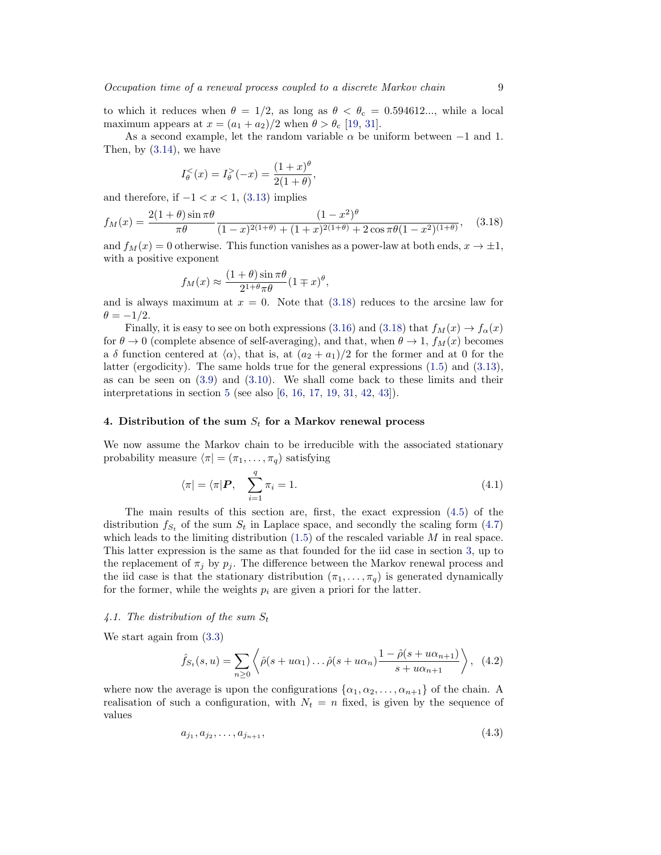to which it reduces when  $\theta = 1/2$ , as long as  $\theta < \theta_c = 0.594612...$ , while a local maximum appears at  $x = (a_1 + a_2)/2$  when  $\theta > \theta_c$  [\[19,](#page-15-18) [31\]](#page-16-11).

As a second example, let the random variable  $\alpha$  be uniform between  $-1$  and 1. Then, by  $(3.14)$ , we have

<span id="page-8-1"></span>
$$
I_{\theta}^{<}(x) = I_{\theta}^{>}(-x) = \frac{(1+x)^{\theta}}{2(1+\theta)},
$$

and therefore, if  $-1 < x < 1$ , [\(3.13\)](#page-7-3) implies

$$
f_M(x) = \frac{2(1+\theta)\sin\pi\theta}{\pi\theta} \frac{(1-x^2)^{\theta}}{(1-x)^{2(1+\theta)} + (1+x)^{2(1+\theta)} + 2\cos\pi\theta(1-x^2)^{(1+\theta)}},
$$
(3.18)

and  $f_M(x) = 0$  otherwise. This function vanishes as a power-law at both ends,  $x \to \pm 1$ , with a positive exponent

$$
f_M(x) \approx \frac{(1+\theta)\sin \pi \theta}{2^{1+\theta}\pi \theta} (1 \mp x)^{\theta},
$$

and is always maximum at  $x = 0$ . Note that [\(3.18\)](#page-8-1) reduces to the arcsine law for  $\theta = -1/2.$ 

Finally, it is easy to see on both expressions [\(3.16\)](#page-7-0) and [\(3.18\)](#page-8-1) that  $f_M(x) \to f_\alpha(x)$ for  $\theta \to 0$  (complete absence of self-averaging), and that, when  $\theta \to 1$ ,  $f_M(x)$  becomes a  $\delta$  function centered at  $\langle \alpha \rangle$ , that is, at  $(a_2 + a_1)/2$  for the former and at 0 for the latter (ergodicity). The same holds true for the general expressions [\(1.5\)](#page-3-2) and [\(3.13\)](#page-7-3), as can be seen on  $(3.9)$  and  $(3.10)$ . We shall come back to these limits and their interpretations in section [5](#page-10-0) (see also [\[6,](#page-15-5) [16,](#page-15-15) [17,](#page-15-16) [19,](#page-15-18) [31,](#page-16-11) [42,](#page-16-22) [43\]](#page-16-23)).

## <span id="page-8-0"></span>4. Distribution of the sum  $S_t$  for a Markov renewal process

We now assume the Markov chain to be irreducible with the associated stationary probability measure  $\langle \pi | = (\pi_1, \ldots, \pi_q)$  satisfying

$$
\langle \pi | = \langle \pi | \mathbf{P}, \quad \sum_{i=1}^{q} \pi_i = 1. \tag{4.1}
$$

The main results of this section are, first, the exact expression [\(4.5\)](#page-9-0) of the distribution  $f_{S_t}$  of the sum  $S_t$  in Laplace space, and secondly the scaling form [\(4.7\)](#page-10-1) which leads to the limiting distribution  $(1.5)$  of the rescaled variable M in real space. This latter expression is the same as that founded for the iid case in section [3,](#page-5-1) up to the replacement of  $\pi_j$  by  $p_j$ . The difference between the Markov renewal process and the iid case is that the stationary distribution  $(\pi_1, \ldots, \pi_q)$  is generated dynamically for the former, while the weights  $p_i$  are given a priori for the latter.

# 4.1. The distribution of the sum  $S_t$

We start again from [\(3.3\)](#page-6-5)

<span id="page-8-2"></span>
$$
\hat{f}_{S_t}(s, u) = \sum_{n \ge 0} \left\langle \hat{\rho}(s + u\alpha_1) \dots \hat{\rho}(s + u\alpha_n) \frac{1 - \hat{\rho}(s + u\alpha_{n+1})}{s + u\alpha_{n+1}} \right\rangle, \tag{4.2}
$$

where now the average is upon the configurations  $\{\alpha_1, \alpha_2, \dots, \alpha_{n+1}\}\$  of the chain. A realisation of such a configuration, with  $N_t = n$  fixed, is given by the sequence of values

$$
a_{j_1}, a_{j_2}, \dots, a_{j_{n+1}}, \tag{4.3}
$$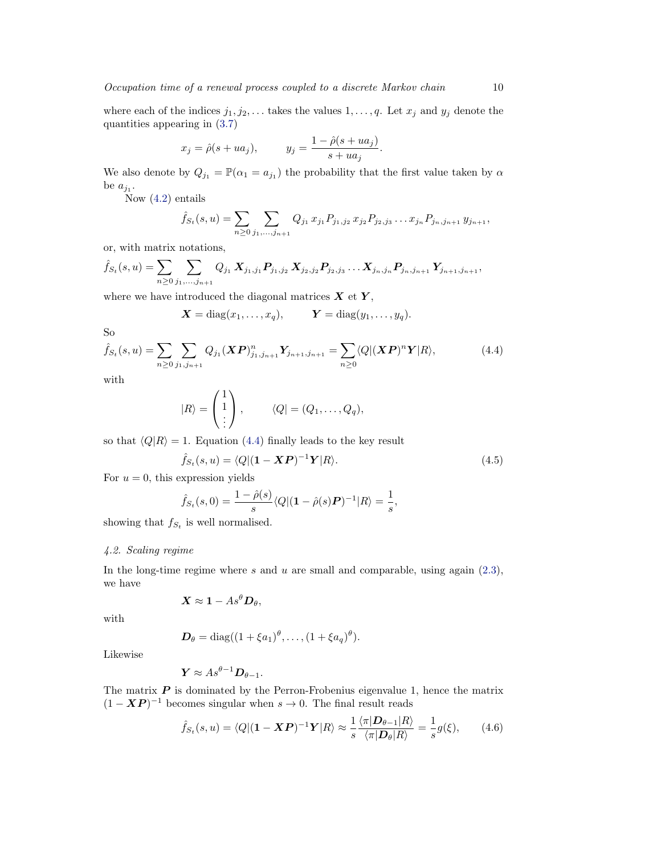where each of the indices  $j_1, j_2, \ldots$  takes the values  $1, \ldots, q$ . Let  $x_j$  and  $y_j$  denote the quantities appearing in [\(3.7\)](#page-6-1)

$$
x_j = \hat{\rho}(s + ua_j), \qquad y_j = \frac{1 - \hat{\rho}(s + ua_j)}{s + ua_j}.
$$

We also denote by  $Q_{j_1} = \mathbb{P}(\alpha_1 = a_{j_1})$  the probability that the first value taken by  $\alpha$ be  $a_{j_1}$ .

Now [\(4.2\)](#page-8-2) entails

$$
\hat{f}_{S_t}(s, u) = \sum_{n \geq 0} \sum_{j_1, \dots, j_{n+1}} Q_{j_1} x_{j_1} P_{j_1, j_2} x_{j_2} P_{j_2, j_3} \dots x_{j_n} P_{j_n, j_{n+1}} y_{j_{n+1}},
$$

or, with matrix notations,

$$
\hat{f}_{S_t}(s, u) = \sum_{n \geq 0} \sum_{j_1, \dots, j_{n+1}} Q_{j_1} \, \mathbf{X}_{j_1, j_1} \mathbf{P}_{j_1, j_2} \, \mathbf{X}_{j_2, j_2} \mathbf{P}_{j_2, j_3} \dots \mathbf{X}_{j_n, j_n} \mathbf{P}_{j_n, j_{n+1}} \, \mathbf{Y}_{j_{n+1}, j_{n+1}},
$$

where we have introduced the diagonal matrices  $X$  et  $Y$ ,

<span id="page-9-1"></span>
$$
\mathbf{X} = \text{diag}(x_1,\ldots,x_q), \qquad \mathbf{Y} = \text{diag}(y_1,\ldots,y_q).
$$

So

$$
\hat{f}_{S_t}(s, u) = \sum_{n \ge 0} \sum_{j_1, j_{n+1}} Q_{j_1} (\boldsymbol{X} \boldsymbol{P})_{j_1, j_{n+1}}^n \boldsymbol{Y}_{j_{n+1}, j_{n+1}} = \sum_{n \ge 0} \langle Q | (\boldsymbol{X} \boldsymbol{P})^n \boldsymbol{Y} | R \rangle, \tag{4.4}
$$

with

$$
|R\rangle = \begin{pmatrix} 1 \\ 1 \\ \vdots \end{pmatrix}, \qquad \langle Q| = (Q_1, \dots, Q_q),
$$

so that  $\langle Q|R \rangle = 1$ . Equation [\(4.4\)](#page-9-1) finally leads to the key result

<span id="page-9-0"></span>
$$
\hat{f}_{S_t}(s, u) = \langle Q | (\mathbf{1} - \mathbf{X} \mathbf{P})^{-1} \mathbf{Y} | R \rangle.
$$
\n(4.5)

For  $u = 0$ , this expression yields

$$
\hat{f}_{S_t}(s,0) = \frac{1 - \hat{\rho}(s)}{s} \langle Q | (1 - \hat{\rho}(s)P)^{-1} | R \rangle = \frac{1}{s},
$$

showing that  $f_{S_t}$  is well normalised.

# 4.2. Scaling regime

In the long-time regime where  $s$  and  $u$  are small and comparable, using again  $(2.3)$ , we have

$$
\boldsymbol{X} \approx \boldsymbol{1} - A s^{\theta} \boldsymbol{D}_{\theta},
$$

with

$$
D_{\theta} = \text{diag}((1 + \xi a_1)^{\theta}, \dots, (1 + \xi a_q)^{\theta}).
$$

Likewise

$$
\boldsymbol{Y} \approx A s^{\theta - 1} \boldsymbol{D}_{\theta - 1}.
$$

The matrix  $P$  is dominated by the Perron-Frobenius eigenvalue 1, hence the matrix  $(1 - \mathbf{X}P)^{-1}$  becomes singular when  $s \to 0$ . The final result reads

<span id="page-9-2"></span>
$$
\hat{f}_{S_t}(s, u) = \langle Q | (\mathbf{1} - \mathbf{X} \mathbf{P})^{-1} \mathbf{Y} | R \rangle \approx \frac{1}{s} \frac{\langle \pi | \mathbf{D}_{\theta-1} | R \rangle}{\langle \pi | \mathbf{D}_{\theta} | R \rangle} = \frac{1}{s} g(\xi), \qquad (4.6)
$$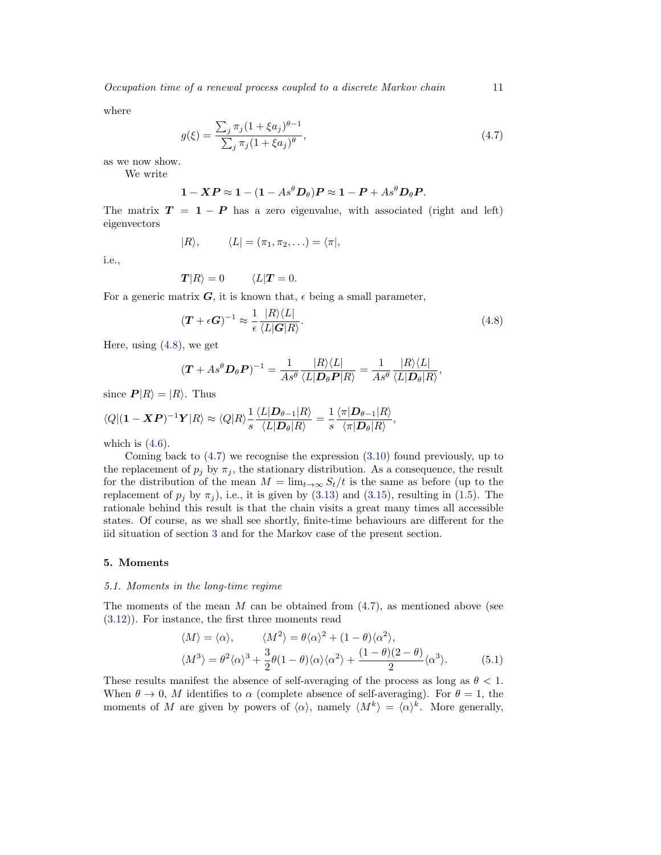where

<span id="page-10-1"></span>
$$
g(\xi) = \frac{\sum_{j} \pi_j (1 + \xi a_j)^{\theta - 1}}{\sum_{j} \pi_j (1 + \xi a_j)^{\theta}},
$$
\n(4.7)

as we now show.

We write

$$
1 - XP \approx 1 - (1 - As^{\theta}D_{\theta})P \approx 1 - P + As^{\theta}D_{\theta}P.
$$

The matrix  $T = 1 - P$  has a zero eigenvalue, with associated (right and left) eigenvectors

$$
|R\rangle, \qquad \langle L|=(\pi_1,\pi_2,\ldots)=\langle \pi|,
$$

i.e.,

$$
T|R\rangle = 0 \qquad \langle L|T = 0.
$$

For a generic matrix  $G$ , it is known that,  $\epsilon$  being a small parameter,

<span id="page-10-2"></span>
$$
(\boldsymbol{T} + \epsilon \boldsymbol{G})^{-1} \approx \frac{1}{\epsilon} \frac{|R\rangle\langle L|}{\langle L|G|R\rangle}.
$$
\n(4.8)

Here, using [\(4.8\)](#page-10-2), we get

$$
(\boldsymbol{T} + A s^{\theta} \boldsymbol{D}_{\theta} \boldsymbol{P})^{-1} = \frac{1}{A s^{\theta}} \frac{|R\rangle\langle L|}{\langle L| \boldsymbol{D}_{\theta} \boldsymbol{P} |R\rangle} = \frac{1}{A s^{\theta}} \frac{|R\rangle\langle L|}{\langle L| \boldsymbol{D}_{\theta} |R\rangle},
$$

since  $P|R\rangle = |R\rangle$ . Thus

$$
\langle Q| (1 - \mathbf{X} \mathbf{P})^{-1} \mathbf{Y} | R \rangle \approx \langle Q | R \rangle \frac{1}{s} \frac{\langle L | \mathbf{D}_{\theta-1} | R \rangle}{\langle L | \mathbf{D}_{\theta} | R \rangle} = \frac{1}{s} \frac{\langle \pi | \mathbf{D}_{\theta-1} | R \rangle}{\langle \pi | \mathbf{D}_{\theta} | R \rangle},
$$

which is  $(4.6)$ .

Coming back to  $(4.7)$  we recognise the expression  $(3.10)$  found previously, up to the replacement of  $p_j$  by  $\pi_j$ , the stationary distribution. As a consequence, the result for the distribution of the mean  $M = \lim_{t\to\infty} S_t/t$  is the same as before (up to the replacement of  $p_j$  by  $\pi_j$ ), i.e., it is given by [\(3.13\)](#page-7-3) and [\(3.15\)](#page-7-4), resulting in [\(1.5\)](#page-3-2). The rationale behind this result is that the chain visits a great many times all accessible states. Of course, as we shall see shortly, finite-time behaviours are different for the iid situation of section [3](#page-5-1) and for the Markov case of the present section.

# <span id="page-10-0"></span>5. Moments

#### 5.1. Moments in the long-time regime

The moments of the mean  $M$  can be obtained from  $(4.7)$ , as mentioned above (see [\(3.12\)](#page-7-6)). For instance, the first three moments read

<span id="page-10-3"></span>
$$
\langle M \rangle = \langle \alpha \rangle, \qquad \langle M^2 \rangle = \theta \langle \alpha \rangle^2 + (1 - \theta) \langle \alpha^2 \rangle, \langle M^3 \rangle = \theta^2 \langle \alpha \rangle^3 + \frac{3}{2} \theta (1 - \theta) \langle \alpha \rangle \langle \alpha^2 \rangle + \frac{(1 - \theta)(2 - \theta)}{2} \langle \alpha^3 \rangle.
$$
\n(5.1)

These results manifest the absence of self-averaging of the process as long as  $\theta < 1$ . When  $\theta \to 0$ , M identifies to  $\alpha$  (complete absence of self-averaging). For  $\theta = 1$ , the moments of M are given by powers of  $\langle \alpha \rangle$ , namely  $\langle M^k \rangle = \langle \alpha \rangle^k$ . More generally,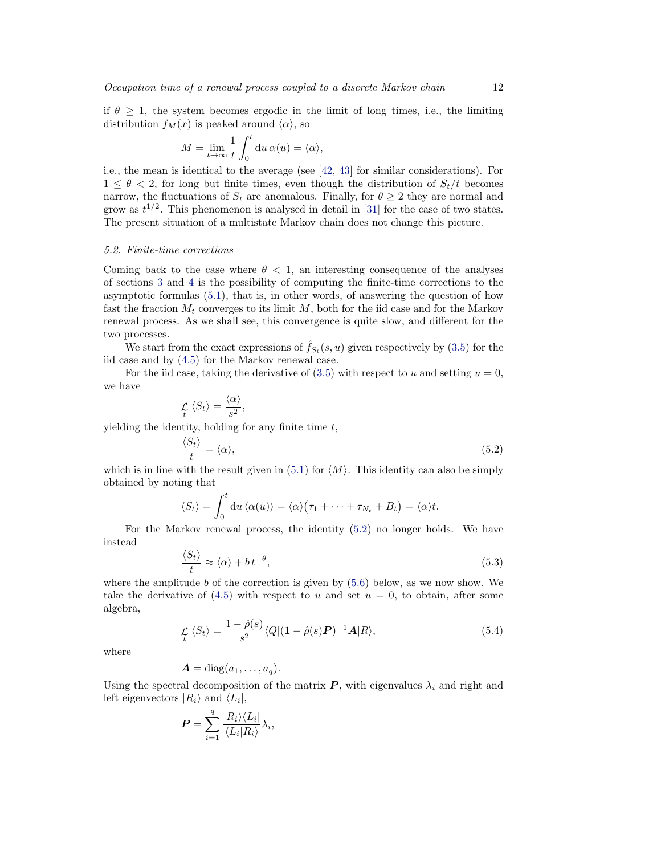if  $\theta \geq 1$ , the system becomes ergodic in the limit of long times, i.e., the limiting distribution  $f_M(x)$  is peaked around  $\langle \alpha \rangle$ , so

$$
M = \lim_{t \to \infty} \frac{1}{t} \int_0^t du \,\alpha(u) = \langle \alpha \rangle,
$$

i.e., the mean is identical to the average (see [\[42,](#page-16-22) [43\]](#page-16-23) for similar considerations). For  $1 \leq \theta < 2$ , for long but finite times, even though the distribution of  $S_t/t$  becomes narrow, the fluctuations of  $S_t$  are anomalous. Finally, for  $\theta \geq 2$  they are normal and grow as  $t^{1/2}$ . This phenomenon is analysed in detail in [\[31\]](#page-16-11) for the case of two states. The present situation of a multistate Markov chain does not change this picture.

#### 5.2. Finite-time corrections

Coming back to the case where  $\theta < 1$ , an interesting consequence of the analyses of sections [3](#page-5-1) and [4](#page-8-0) is the possibility of computing the finite-time corrections to the asymptotic formulas [\(5.1\)](#page-10-3), that is, in other words, of answering the question of how fast the fraction  $M_t$  converges to its limit  $M$ , both for the iid case and for the Markov renewal process. As we shall see, this convergence is quite slow, and different for the two processes.

We start from the exact expressions of  $\hat{f}_{S_t}(s, u)$  given respectively by [\(3.5\)](#page-6-0) for the iid case and by [\(4.5\)](#page-9-0) for the Markov renewal case.

For the iid case, taking the derivative of  $(3.5)$  with respect to u and setting  $u = 0$ , we have

$$
\mathop{\mathcal{L}}\limits_t \left\langle S_t \right\rangle = \frac{\langle \alpha \rangle}{s^2},
$$

yielding the identity, holding for any finite time  $t$ ,

<span id="page-11-0"></span>
$$
\frac{\langle S_t \rangle}{t} = \langle \alpha \rangle,\tag{5.2}
$$

which is in line with the result given in [\(5.1\)](#page-10-3) for  $\langle M \rangle$ . This identity can also be simply obtained by noting that

$$
\langle S_t \rangle = \int_0^t \mathrm{d}u \, \langle \alpha(u) \rangle = \langle \alpha \rangle (\tau_1 + \dots + \tau_{N_t} + B_t) = \langle \alpha \rangle t.
$$

For the Markov renewal process, the identity [\(5.2\)](#page-11-0) no longer holds. We have instead

<span id="page-11-2"></span>
$$
\frac{\langle S_t \rangle}{t} \approx \langle \alpha \rangle + b t^{-\theta},\tag{5.3}
$$

where the amplitude  $b$  of the correction is given by  $(5.6)$  below, as we now show. We take the derivative of  $(4.5)$  with respect to u and set  $u = 0$ , to obtain, after some algebra,

<span id="page-11-1"></span>
$$
\mathcal{L}_{t} \langle S_{t} \rangle = \frac{1 - \hat{\rho}(s)}{s^{2}} \langle Q | (1 - \hat{\rho}(s)P)^{-1} A | R \rangle, \tag{5.4}
$$

where

$$
\mathbf{A} = \mathrm{diag}(a_1, \ldots, a_q).
$$

Using the spectral decomposition of the matrix  $P$ , with eigenvalues  $\lambda_i$  and right and left eigenvectors  $|R_i\rangle$  and  $\langle L_i|$ ,

$$
P = \sum_{i=1}^{q} \frac{|R_i\rangle\langle L_i|}{\langle L_i|R_i\rangle}\lambda_i,
$$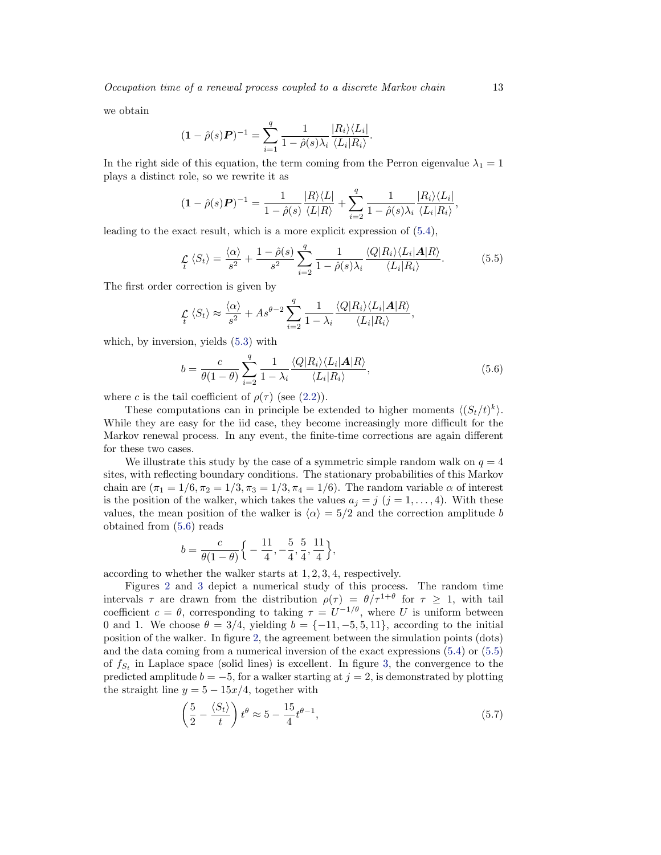we obtain

$$
(\mathbf{1} - \hat{\rho}(s)\mathbf{P})^{-1} = \sum_{i=1}^{q} \frac{1}{1 - \hat{\rho}(s)\lambda_i} \frac{|R_i\rangle\langle L_i|}{\langle L_i|R_i\rangle}.
$$

In the right side of this equation, the term coming from the Perron eigenvalue  $\lambda_1 = 1$ plays a distinct role, so we rewrite it as

$$
(\mathbf{1} - \hat{\rho}(s)\mathbf{P})^{-1} = \frac{1}{1 - \hat{\rho}(s)} \frac{|R\rangle\langle L|}{\langle L|R\rangle} + \sum_{i=2}^{q} \frac{1}{1 - \hat{\rho}(s)\lambda_i} \frac{|R_i\rangle\langle L_i|}{\langle L_i|R_i\rangle},
$$

leading to the exact result, which is a more explicit expression of [\(5.4\)](#page-11-1),

<span id="page-12-1"></span>
$$
\mathcal{L}_{t} \langle S_{t} \rangle = \frac{\langle \alpha \rangle}{s^{2}} + \frac{1 - \hat{\rho}(s)}{s^{2}} \sum_{i=2}^{q} \frac{1}{1 - \hat{\rho}(s) \lambda_{i}} \frac{\langle Q | R_{i} \rangle \langle L_{i} | A | R \rangle}{\langle L_{i} | R_{i} \rangle}.
$$
(5.5)

The first order correction is given by

$$
\mathcal{L}_{t} \langle S_{t} \rangle \approx \frac{\langle \alpha \rangle}{s^{2}} + As^{\theta-2} \sum_{i=2}^{q} \frac{1}{1 - \lambda_{i}} \frac{\langle Q | R_{i} \rangle \langle L_{i} | A | R \rangle}{\langle L_{i} | R_{i} \rangle},
$$

which, by inversion, yields [\(5.3\)](#page-11-2) with

<span id="page-12-0"></span>
$$
b = \frac{c}{\theta(1-\theta)} \sum_{i=2}^{q} \frac{1}{1-\lambda_i} \frac{\langle Q | R_i \rangle \langle L_i | A | R \rangle}{\langle L_i | R_i \rangle},\tag{5.6}
$$

where c is the tail coefficient of  $\rho(\tau)$  (see [\(2.2\)](#page-3-0)).

These computations can in principle be extended to higher moments  $\langle (S_t/t)^k \rangle$ . While they are easy for the iid case, they become increasingly more difficult for the Markov renewal process. In any event, the finite-time corrections are again different for these two cases.

We illustrate this study by the case of a symmetric simple random walk on  $q = 4$ sites, with reflecting boundary conditions. The stationary probabilities of this Markov chain are  $(\pi_1 = 1/6, \pi_2 = 1/3, \pi_3 = 1/3, \pi_4 = 1/6)$ . The random variable  $\alpha$  of interest is the position of the walker, which takes the values  $a_j = j$   $(j = 1, ..., 4)$ . With these values, the mean position of the walker is  $\langle \alpha \rangle = 5/2$  and the correction amplitude b obtained from [\(5.6\)](#page-12-0) reads

$$
b = \frac{c}{\theta(1-\theta)} \left\{ -\frac{11}{4}, -\frac{5}{4}, \frac{5}{4}, \frac{11}{4} \right\},\,
$$

according to whether the walker starts at 1, 2, 3, 4, respectively.

Figures [2](#page-13-1) and [3](#page-14-0) depict a numerical study of this process. The random time intervals  $\tau$  are drawn from the distribution  $\rho(\tau) = \theta/\tau^{1+\theta}$  for  $\tau \geq 1$ , with tail coefficient  $c = \theta$ , corresponding to taking  $\tau = U^{-1/\theta}$ , where U is uniform between 0 and 1. We choose  $\theta = 3/4$ , yielding  $b = \{-11, -5, 5, 11\}$ , according to the initial position of the walker. In figure [2,](#page-13-1) the agreement between the simulation points (dots) and the data coming from a numerical inversion of the exact expressions [\(5.4\)](#page-11-1) or [\(5.5\)](#page-12-1) of  $f_{S_t}$  in Laplace space (solid lines) is excellent. In figure [3,](#page-14-0) the convergence to the predicted amplitude  $b = -5$ , for a walker starting at  $j = 2$ , is demonstrated by plotting the straight line  $y = 5 - 15x/4$ , together with

<span id="page-12-2"></span>
$$
\left(\frac{5}{2} - \frac{\langle S_t \rangle}{t}\right)t^{\theta} \approx 5 - \frac{15}{4}t^{\theta - 1},\tag{5.7}
$$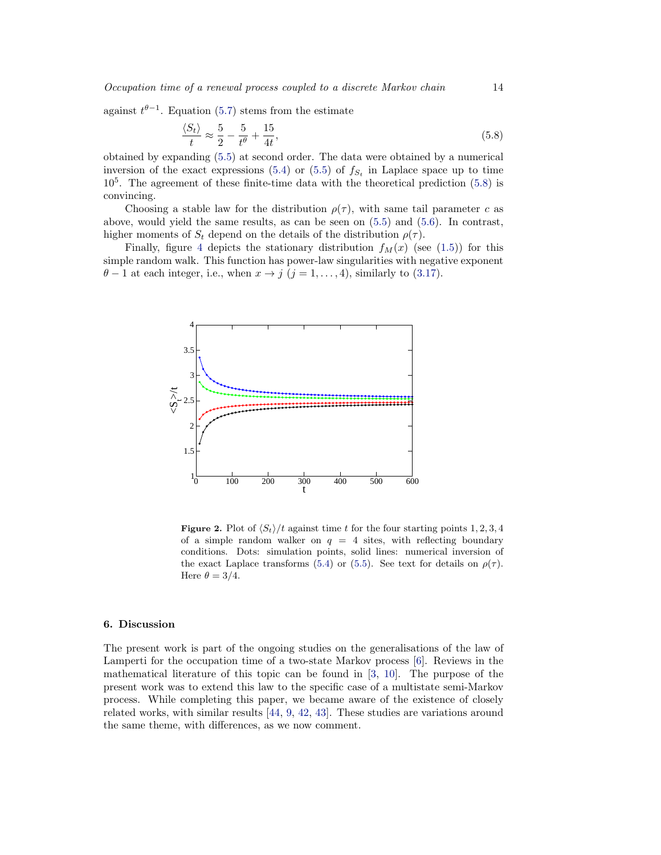against  $t^{\theta-1}$ . Equation [\(5.7\)](#page-12-2) stems from the estimate

<span id="page-13-2"></span>
$$
\frac{\langle S_t \rangle}{t} \approx \frac{5}{2} - \frac{5}{t^{\theta}} + \frac{15}{4t},\tag{5.8}
$$

obtained by expanding [\(5.5\)](#page-12-1) at second order. The data were obtained by a numerical inversion of the exact expressions [\(5.4\)](#page-11-1) or [\(5.5\)](#page-12-1) of  $f_{S_t}$  in Laplace space up to time  $10<sup>5</sup>$ . The agreement of these finite-time data with the theoretical prediction  $(5.8)$  is convincing.

Choosing a stable law for the distribution  $\rho(\tau)$ , with same tail parameter c as above, would yield the same results, as can be seen on [\(5.5\)](#page-12-1) and [\(5.6\)](#page-12-0). In contrast, higher moments of  $S_t$  depend on the details of the distribution  $\rho(\tau)$ .

Finally, figure [4](#page-14-1) depicts the stationary distribution  $f_M(x)$  (see [\(1.5\)](#page-3-2)) for this simple random walk. This function has power-law singularities with negative exponent  $\theta - 1$  at each integer, i.e., when  $x \to j$   $(j = 1, ..., 4)$ , similarly to [\(3.17\)](#page-7-7).



<span id="page-13-1"></span>Figure 2. Plot of  $\langle S_t \rangle / t$  against time t for the four starting points 1, 2, 3, 4 of a simple random walker on  $q = 4$  sites, with reflecting boundary conditions. Dots: simulation points, solid lines: numerical inversion of the exact Laplace transforms [\(5.4\)](#page-11-1) or [\(5.5\)](#page-12-1). See text for details on  $\rho(\tau)$ . Here  $\theta = 3/4$ .

# <span id="page-13-0"></span>6. Discussion

The present work is part of the ongoing studies on the generalisations of the law of Lamperti for the occupation time of a two-state Markov process [\[6\]](#page-15-5). Reviews in the mathematical literature of this topic can be found in [\[3,](#page-15-2) [10\]](#page-15-9). The purpose of the present work was to extend this law to the specific case of a multistate semi-Markov process. While completing this paper, we became aware of the existence of closely related works, with similar results [\[44,](#page-16-24) [9,](#page-15-8) [42,](#page-16-22) [43\]](#page-16-23). These studies are variations around the same theme, with differences, as we now comment.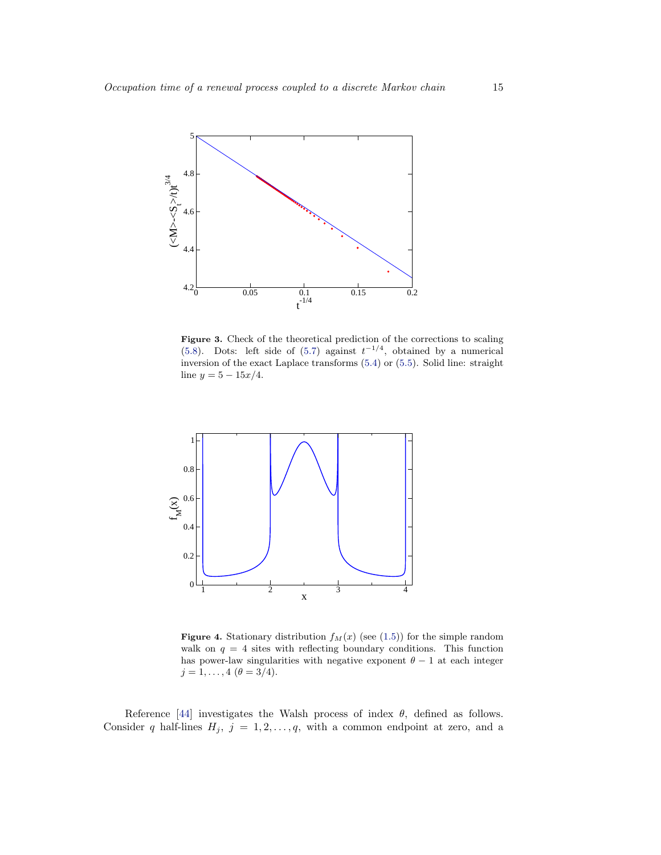

<span id="page-14-0"></span>Figure 3. Check of the theoretical prediction of the corrections to scaling [\(5.8\)](#page-13-2). Dots: left side of [\(5.7\)](#page-12-2) against  $t^{-1/4}$ , obtained by a numerical inversion of the exact Laplace transforms [\(5.4\)](#page-11-1) or [\(5.5\)](#page-12-1). Solid line: straight line  $y = 5 - 15x/4$ .



<span id="page-14-1"></span>Figure 4. Stationary distribution  $f_M(x)$  (see [\(1.5\)](#page-3-2)) for the simple random walk on  $q = 4$  sites with reflecting boundary conditions. This function has power-law singularities with negative exponent  $\theta - 1$  at each integer  $j = 1, \ldots, 4 \ (\theta = 3/4).$ 

Reference [\[44\]](#page-16-24) investigates the Walsh process of index  $\theta$ , defined as follows. Consider q half-lines  $H_j$ ,  $j = 1, 2, ..., q$ , with a common endpoint at zero, and a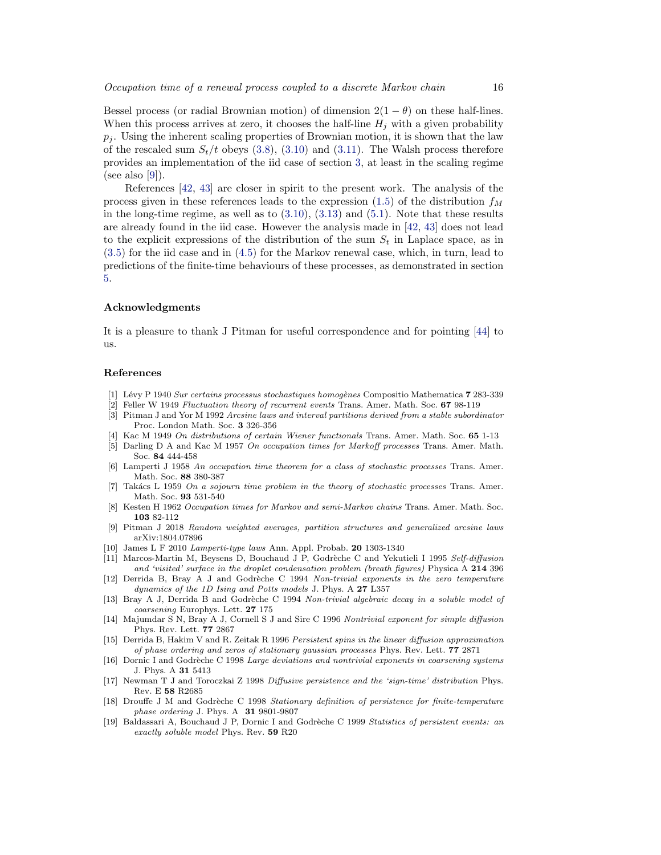Bessel process (or radial Brownian motion) of dimension  $2(1 - \theta)$  on these half-lines. When this process arrives at zero, it chooses the half-line  $H_j$  with a given probability  $p_i$ . Using the inherent scaling properties of Brownian motion, it is shown that the law of the rescaled sum  $S_t/t$  obeys [\(3.8\)](#page-6-2), [\(3.10\)](#page-6-4) and [\(3.11\)](#page-7-2). The Walsh process therefore provides an implementation of the iid case of section [3,](#page-5-1) at least in the scaling regime (see also  $[9]$ ).

References [\[42,](#page-16-22) [43\]](#page-16-23) are closer in spirit to the present work. The analysis of the process given in these references leads to the expression [\(1.5\)](#page-3-2) of the distribution  $f_M$ in the long-time regime, as well as to  $(3.10)$ ,  $(3.13)$  and  $(5.1)$ . Note that these results are already found in the iid case. However the analysis made in [\[42,](#page-16-22) [43\]](#page-16-23) does not lead to the explicit expressions of the distribution of the sum  $S_t$  in Laplace space, as in [\(3.5\)](#page-6-0) for the iid case and in [\(4.5\)](#page-9-0) for the Markov renewal case, which, in turn, lead to predictions of the finite-time behaviours of these processes, as demonstrated in section [5.](#page-10-0)

## Acknowledgments

It is a pleasure to thank J Pitman for useful correspondence and for pointing [\[44\]](#page-16-24) to us.

## References

- <span id="page-15-0"></span>[1] Lévy P 1940 Sur certains processus stochastiques homogènes Compositio Mathematica  $7\,283-339$
- <span id="page-15-1"></span>Feller W 1949 Fluctuation theory of recurrent events Trans. Amer. Math. Soc. 67 98-119
- <span id="page-15-2"></span>[3] Pitman J and Yor M 1992 Arcsine laws and interval partitions derived from a stable subordinator Proc. London Math. Soc. 3 326-356
- <span id="page-15-3"></span>[4] Kac M 1949 On distributions of certain Wiener functionals Trans. Amer. Math. Soc. 65 1-13
- <span id="page-15-4"></span>[5] Darling D A and Kac M 1957 On occupation times for Markoff processes Trans. Amer. Math. Soc. 84 444-458
- <span id="page-15-5"></span>[6] Lamperti J 1958 An occupation time theorem for a class of stochastic processes Trans. Amer. Math. Soc. 88 380-387
- <span id="page-15-6"></span>[7] Takács L 1959 On a sojourn time problem in the theory of stochastic processes Trans. Amer. Math. Soc. 93 531-540
- <span id="page-15-7"></span>[8] Kesten H 1962 Occupation times for Markov and semi-Markov chains Trans. Amer. Math. Soc. 103 82-112
- <span id="page-15-8"></span>[9] Pitman J 2018 Random weighted averages, partition structures and generalized arcsine laws arXiv:1804.07896
- <span id="page-15-9"></span>[10] James L F 2010 Lamperti-type laws Ann. Appl. Probab. 20 1303-1340
- <span id="page-15-10"></span>[11] Marcos-Martin M, Beysens D, Bouchaud J P, Godrèche C and Yekutieli I 1995 Self-diffusion and 'visited' surface in the droplet condensation problem (breath figures) Physica A 214 396
- <span id="page-15-11"></span>[12] Derrida B, Bray A J and Godrèche C 1994 Non-trivial exponents in the zero temperature dynamics of the 1D Ising and Potts models J. Phys. A 27 L357
- <span id="page-15-12"></span>[13] Bray A J, Derrida B and Godrèche C 1994 Non-trivial algebraic decay in a soluble model of coarsening Europhys. Lett. 27 175
- <span id="page-15-13"></span>[14] Majumdar S N, Bray A J, Cornell S J and Sire C 1996 Nontrivial exponent for simple diffusion Phys. Rev. Lett. 77 2867
- <span id="page-15-14"></span>[15] Derrida B, Hakim V and R. Zeitak R 1996 Persistent spins in the linear diffusion approximation of phase ordering and zeros of stationary gaussian processes Phys. Rev. Lett. 77 2871
- <span id="page-15-15"></span>[16] Dornic I and Godrèche C 1998 Large deviations and nontrivial exponents in coarsening systems J. Phys. A 31 5413
- <span id="page-15-16"></span>[17] Newman T J and Toroczkai Z 1998 Diffusive persistence and the 'sign-time' distribution Phys. Rev. E 58 R2685
- <span id="page-15-17"></span>[18] Drouffe J M and Godrèche C 1998 Stationary definition of persistence for finite-temperature phase ordering J. Phys. A 31 9801-9807
- <span id="page-15-18"></span>[19] Baldassari A, Bouchaud J P, Dornic I and Godrèche C 1999 Statistics of persistent events: an exactly soluble model Phys. Rev. 59 R20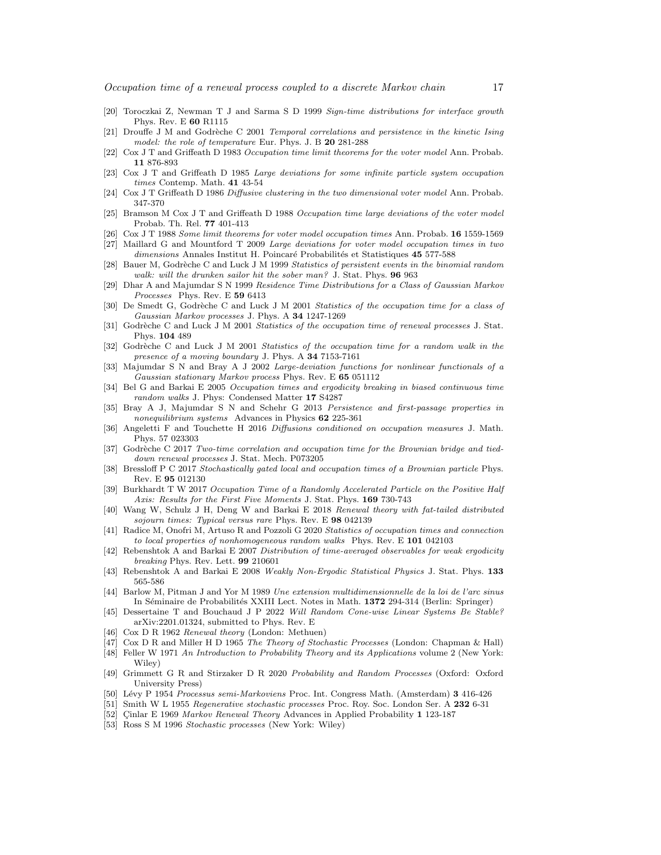- <span id="page-16-0"></span>[20] Toroczkai Z, Newman T J and Sarma S D 1999 Sign-time distributions for interface growth Phys. Rev. E 60 R1115
- <span id="page-16-1"></span>[21] Drouffe J M and Godrèche C 2001 Temporal correlations and persistence in the kinetic Ising model: the role of temperature Eur. Phys. J. B 20 281-288
- <span id="page-16-2"></span>[22] Cox J T and Griffeath D 1983 Occupation time limit theorems for the voter model Ann. Probab. 11 876-893
- <span id="page-16-3"></span>[23] Cox J T and Griffeath D 1985 Large deviations for some infinite particle system occupation times Contemp. Math. 41 43-54
- <span id="page-16-4"></span>[24] Cox J T Griffeath D 1986 Diffusive clustering in the two dimensional voter model Ann. Probab. 347-370
- <span id="page-16-5"></span>[25] Bramson M Cox J T and Griffeath D 1988 Occupation time large deviations of the voter model Probab. Th. Rel. 77 401-413
- <span id="page-16-6"></span>Cox J T 1988 Some limit theorems for voter model occupation times Ann. Probab. 16 1559-1569
- <span id="page-16-7"></span>[27] Maillard G and Mountford T 2009 Large deviations for voter model occupation times in two dimensions Annales Institut H. Poincaré Probabilités et Statistiques 45 577-588
- <span id="page-16-8"></span>[28] Bauer M, Godrèche C and Luck J M 1999 Statistics of persistent events in the binomial random walk: will the drunken sailor hit the sober man? J. Stat. Phys. **96** 963
- <span id="page-16-9"></span>[29] Dhar A and Majumdar S N 1999 Residence Time Distributions for a Class of Gaussian Markov Processes Phys. Rev. E 59 6413
- <span id="page-16-10"></span>[30] De Smedt G, Godrèche C and Luck J M 2001 Statistics of the occupation time for a class of Gaussian Markov processes J. Phys. A 34 1247-1269
- <span id="page-16-11"></span>[31] Godrèche C and Luck J M 2001 Statistics of the occupation time of renewal processes J. Stat. Phys. 104 489
- <span id="page-16-12"></span>[32] Godrèche C and Luck J M 2001 Statistics of the occupation time for a random walk in the presence of a moving boundary J. Phys. A 34 7153-7161
- <span id="page-16-13"></span>[33] Majumdar S N and Bray A J 2002 Large-deviation functions for nonlinear functionals of a Gaussian stationary Markov process Phys. Rev. E 65 051112
- <span id="page-16-14"></span>[34] Bel G and Barkai E 2005 Occupation times and ergodicity breaking in biased continuous time random walks J. Phys: Condensed Matter 17 S4287
- <span id="page-16-15"></span>[35] Bray A J, Majumdar S N and Schehr G 2013 Persistence and first-passage properties in nonequilibrium systems Advances in Physics 62 225-361
- <span id="page-16-16"></span>[36] Angeletti F and Touchette H 2016 Diffusions conditioned on occupation measures J. Math. Phys. 57 023303
- <span id="page-16-17"></span>[37] Godrèche C 2017 Two-time correlation and occupation time for the Brownian bridge and tieddown renewal processes J. Stat. Mech. P073205
- <span id="page-16-18"></span>[38] Bressloff P C 2017 Stochastically gated local and occupation times of a Brownian particle Phys. Rev. E 95 012130
- <span id="page-16-19"></span>[39] Burkhardt T W 2017 Occupation Time of a Randomly Accelerated Particle on the Positive Half Axis: Results for the First Five Moments J. Stat. Phys. 169 730-743
- <span id="page-16-20"></span>[40] Wang W, Schulz J H, Deng W and Barkai E 2018 Renewal theory with fat-tailed distributed sojourn times: Typical versus rare Phys. Rev. E 98 042139
- <span id="page-16-21"></span>[41] Radice M, Onofri M, Artuso R and Pozzoli G 2020 Statistics of occupation times and connection to local properties of nonhomogeneous random walks Phys. Rev. E 101 042103
- <span id="page-16-22"></span>[42] Rebenshtok A and Barkai E 2007 Distribution of time-averaged observables for weak ergodicity breaking Phys. Rev. Lett. 99 210601
- <span id="page-16-23"></span>[43] Rebenshtok A and Barkai E 2008 Weakly Non-Ergodic Statistical Physics J. Stat. Phys. 133 565-586
- <span id="page-16-24"></span>[44] Barlow M, Pitman J and Yor M 1989 Une extension multidimensionnelle de la loi de l'arc sinus In Séminaire de Probabilités XXIII Lect. Notes in Math. 1372 294-314 (Berlin: Springer)
- <span id="page-16-25"></span>[45] Dessertaine T and Bouchaud J P 2022 Will Random Cone-wise Linear Systems Be Stable? arXiv:2201.01324, submitted to Phys. Rev. E
- <span id="page-16-26"></span> $Cox D R 1962$  Renewal theory (London: Methuen)
- <span id="page-16-27"></span>[47] Cox D R and Miller H D 1965 The Theory of Stochastic Processes (London: Chapman & Hall)
- <span id="page-16-28"></span>[48] Feller W 1971 An Introduction to Probability Theory and its Applications volume 2 (New York: Wiley)
- <span id="page-16-29"></span>[49] Grimmett G R and Stirzaker D R 2020 Probability and Random Processes (Oxford: Oxford University Press)
- <span id="page-16-30"></span>[50] Lévy P 1954 Processus semi-Markoviens Proc. Int. Congress Math. (Amsterdam) 3 416-426
- <span id="page-16-31"></span>[51] Smith W L 1955 Regenerative stochastic processes Proc. Roy. Soc. London Ser. A 232 6-31
- <span id="page-16-32"></span>[52] Cinlar E 1969 Markov Renewal Theory Advances in Applied Probability 1 123-187
- <span id="page-16-33"></span>[53] Ross S M 1996 Stochastic processes (New York: Wiley)